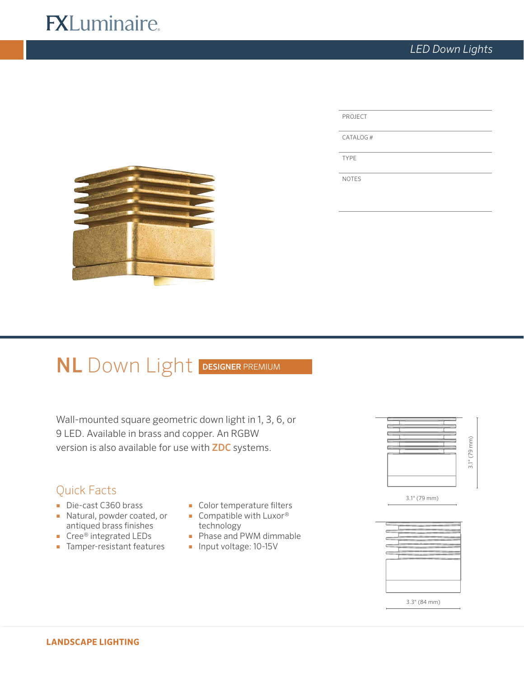# **FXLuminaire.**

| <b>PROJECT</b> |  |
|----------------|--|
| CATALOG#       |  |

TYPE

NOTES



# NL Down Light DESIGNER PREMIUM

Wall-mounted square geometric down light in 1, 3, 6, or 9 LED. Available in brass and copper. An RGBW version is also available for use with ZDC systems.

## Quick Facts

- Die-cast C360 brass
- Natural, powder coated, or antiqued brass finishes
- Cree® integrated LEDs
- Tamper-resistant features
- Color temperature filters
- Compatible with Luxor<sup>®</sup> technology
- Phase and PWM dimmable
- Input voltage: 10-15V



3.1" (79 mm)



3.3" (84 mm)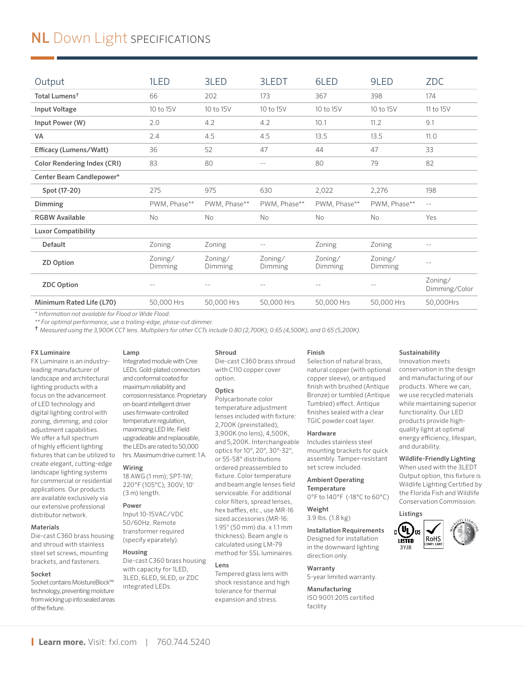## **NL** Down Light SPECIFICATIONS

| Output                             | 1LED               | 3LED               | 3LEDT              | 6LED               | 9LED               | <b>ZDC</b>               |
|------------------------------------|--------------------|--------------------|--------------------|--------------------|--------------------|--------------------------|
| Total Lumens <sup>†</sup>          | 66                 | 202                | 173                | 367                | 398                | 174                      |
| <b>Input Voltage</b>               | 10 to 15V          | 10 to 15V          | 10 to 15V          | 10 to 15V          | 10 to 15V          | 11 to 15V                |
| Input Power (W)                    | 2.0                | 4.2                | 4.2                | 10.1               | 11.2               | 9.1                      |
| <b>VA</b>                          | 2.4                | 4.5                | 4.5                | 13.5               | 13.5               | 11.0                     |
| Efficacy (Lumens/Watt)             | 36                 | 52                 | 47                 | 44                 | 47                 | 33                       |
| <b>Color Rendering Index (CRI)</b> | 83                 | 80                 | $ -$               | 80                 | 79                 | 82                       |
| Center Beam Candlepower*           |                    |                    |                    |                    |                    |                          |
| Spot (17-20)                       | 275                | 975                | 630                | 2,022              | 2,276              | 198                      |
| Dimming                            | PWM, Phase**       | PWM, Phase**       | PWM, Phase**       | PWM, Phase**       | PWM, Phase**       | $-$                      |
| <b>RGBW Available</b>              | <b>No</b>          | <b>No</b>          | <b>No</b>          | <b>No</b>          | <b>No</b>          | Yes                      |
| <b>Luxor Compatibility</b>         |                    |                    |                    |                    |                    |                          |
| <b>Default</b>                     | Zoning             | Zoning             | $ -$               | Zoning             | Zoning             | $\sim$ $-$               |
| <b>ZD Option</b>                   | Zoning/<br>Dimming | Zoning/<br>Dimming | Zoning/<br>Dimming | Zoning/<br>Dimming | Zoning/<br>Dimming | $-$                      |
| <b>ZDC Option</b>                  | $- -$              | $-$                |                    |                    | $-$                | Zoning/<br>Dimming/Color |
| Minimum Rated Life (L70)           | 50,000 Hrs         | 50,000 Hrs         | 50,000 Hrs         | 50,000 Hrs         | 50,000 Hrs         | 50,000Hrs                |

*\* Information not available for Flood or Wide Flood.* 

*\*\* For optimal performance, use a trailing-edge, phase-cut dimmer.*

† *Measured using the 3,900K CCT lens. Multipliers for other CCTs include 0.80 (2,700K), 0.65 (4,500K), and 0.65 (5,200K).*

#### FX Luminaire

FX Luminaire is an industryleading manufacturer of landscape and architectural lighting products with a focus on the advancement of LED technology and digital lighting control with zoning, dimming, and color adjustment capabilities. We offer a full spectrum of highly efficient lighting fixtures that can be utilized to create elegant, cutting-edge landscape lighting systems for commercial or residential applications. Our products are available exclusively via our extensive professional distributor network.

#### **Materials**

Die-cast C360 brass housing and shroud with stainless steel set screws, mounting brackets, and fasteners.

#### Socket

Socket contains MoistureBlock™ technology, preventing moisture from wicking up into sealed areas of the fixture.

### Lamp

Integrated module with Cree LEDs. Gold-plated connectors and conformal coated for maximum reliability and corrosion resistance. Proprietary on-board intelligent driver uses firmware-controlled temperature regulation, maximizing LED life. Field upgradeable and replaceable, the LEDs are rated to 50,000 hrs. Maximum drive current: 1 A.

#### Wiring

18 AWG (1 mm); SPT-1W; 220°F (105°C); 300V; 10' (3 m) length.

#### Power

Input 10-15VAC/VDC 50/60Hz. Remote transformer required (specify eparately).

#### Housing

Die-cast C360 brass housing with capacity for 1LED, 3LED, 6LED, 9LED, or ZDC integrated LEDs.

#### Shroud

Die-cast C360 brass shroud with C110 copper cover option.

#### Optics

Polycarbonate color temperature adjustment lenses included with fixture: 2,700K (preinstalled), 3,900K (no lens), 4,500K, and 5,200K. Interchangeable optics for 10°, 20°, 30°-32°, or 55-58° distributions ordered preassembled to fixture. Color temperature and beam angle lenses field serviceable. For additional color filters, spread lenses, hex baffles, etc., use MR-16 sized accessories (MR-16: 1.95" (50 mm) dia. x 1.1 mm thickness). Beam angle is calculated using LM-79 method for SSL luminaires.

#### Lens

Tempered glass lens with shock resistance and high tolerance for thermal expansion and stress.

#### Finish

Selection of natural brass, natural copper (with optional copper sleeve), or antiqued finish with brushed (Antique Bronze) or tumbled (Antique Tumbled) effect. Antique finishes sealed with a clear TGIC powder coat layer.

#### Hardware

Includes stainless steel mounting brackets for quick assembly. Tamper-resistant set screw included.

#### Ambient Operating **Temperature**

0°F to 140°F (-18°C to 60°C)

Weight 3.9 lbs. (1.8 kg)

## Installation Requirements

Designed for installation in the downward lighting direction only.

Warranty 5-year limited warranty.

Manufacturing ISO 9001:2015 certified facility

#### Sustainability

Innovation meets conservation in the design and manufacturing of our products. Where we can, we use recycled materials while maintaining superior functionality. Our LED products provide highquality light at optimal energy efficiency, lifespan, and durability.

#### Wildlife-Friendly Lighting

When used with the 3LEDT Output option, this fixture is Wildlife Lighting Certified by the Florida Fish and Wildlife Conservation Commission.



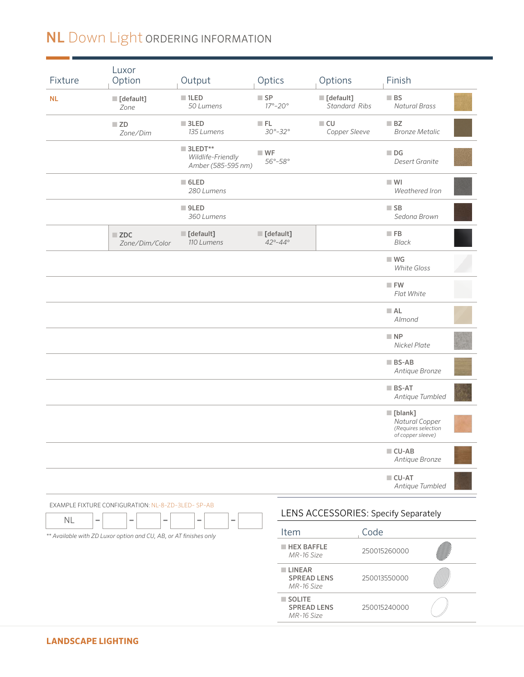## NL Down Light ORDERING INFORMATION

| Fixture                        | Luxor<br>Option                                                   | Output                                                            | Optics                                                |                                                   | Options                                          |                   | Finish                                                                               |  |
|--------------------------------|-------------------------------------------------------------------|-------------------------------------------------------------------|-------------------------------------------------------|---------------------------------------------------|--------------------------------------------------|-------------------|--------------------------------------------------------------------------------------|--|
| NL                             | [default]<br>Zone                                                 | $\blacksquare$ 1LED<br>50 Lumens                                  | $\blacksquare$ SP<br>$17^\circ - 20^\circ$            |                                                   | $\blacksquare$ [default]<br><b>Standard Ribs</b> | $\blacksquare$ BS | <b>Natural Brass</b>                                                                 |  |
|                                | $\blacksquare$ ZD<br>Zone/Dim                                     | $\blacksquare$ 3LED<br>135 Lumens                                 | F L<br>$30^{\circ} - 32^{\circ}$                      |                                                   | $\Box$ CU<br>Copper Sleeve                       | BZ                | <b>Bronze Metalic</b>                                                                |  |
|                                |                                                                   | $\blacksquare$ 3LEDT**<br>Wildlife-Friendly<br>Amber (585-595 nm) | $W$ F<br>56°-58°                                      |                                                   |                                                  | $\blacksquare$ DG | Desert Granite                                                                       |  |
|                                |                                                                   | $\blacksquare$ 6LED<br>280 Lumens                                 |                                                       |                                                   |                                                  | $\blacksquare$ WI | Weathered Iron                                                                       |  |
|                                |                                                                   | $\blacksquare$ 9LED<br>360 Lumens                                 |                                                       |                                                   |                                                  | $\blacksquare$ SB | Sedona Brown                                                                         |  |
|                                | $\blacksquare$ ZDC<br>Zone/Dim/Color                              | $\blacksquare$ [default]<br>110 Lumens                            | $\blacksquare$ [default]<br>$42^{\circ} - 44^{\circ}$ |                                                   |                                                  | $\blacksquare$ FB | <b>Black</b>                                                                         |  |
|                                |                                                                   |                                                                   |                                                       |                                                   |                                                  |                   | $W$ G<br><b>White Gloss</b>                                                          |  |
|                                |                                                                   |                                                                   |                                                       |                                                   |                                                  |                   | $\blacksquare$ FW<br>Flat White                                                      |  |
|                                |                                                                   |                                                                   |                                                       |                                                   |                                                  | A <sub>L</sub>    | Almond                                                                               |  |
|                                |                                                                   |                                                                   |                                                       |                                                   |                                                  | $\blacksquare$ NP | Nickel Plate                                                                         |  |
|                                |                                                                   |                                                                   |                                                       |                                                   |                                                  |                   | $\blacksquare$ BS-AB<br>Antique Bronze                                               |  |
|                                |                                                                   |                                                                   |                                                       |                                                   |                                                  |                   | $\blacksquare$ BS-AT<br>Antique Tumbled                                              |  |
|                                |                                                                   |                                                                   |                                                       |                                                   |                                                  |                   | $\blacksquare$ [blank]<br>Natural Copper<br>(Requires selection<br>of copper sleeve) |  |
|                                |                                                                   |                                                                   |                                                       |                                                   |                                                  |                   | $\blacksquare$ CU-AB<br>Antique Bronze                                               |  |
|                                |                                                                   |                                                                   |                                                       |                                                   |                                                  |                   | $\blacksquare$ CU-AT<br>Antique Tumbled                                              |  |
|                                | EXAMPLE FIXTURE CONFIGURATION: NL-8-ZD-3LED- SP-AB                |                                                                   |                                                       |                                                   |                                                  |                   | LENS ACCESSORIES: Specify Separately                                                 |  |
| NL<br>$\overline{\phantom{a}}$ | -<br>÷                                                            | ۰<br>÷                                                            | Item                                                  |                                                   |                                                  | Code              |                                                                                      |  |
|                                | ** Available with ZD Luxor option and CU, AB, or AT finishes only |                                                                   |                                                       | <b>HEX BAFFLE</b><br>MR-16 Size                   |                                                  | 250015260000      |                                                                                      |  |
|                                |                                                                   |                                                                   |                                                       | <b>LINEAR</b><br><b>SPREAD LENS</b><br>MR-16 Size |                                                  | 250013550000      |                                                                                      |  |
|                                |                                                                   |                                                                   |                                                       | SOLITE<br><b>SPREAD LENS</b><br>MR-16 Size        |                                                  | 250015240000      |                                                                                      |  |